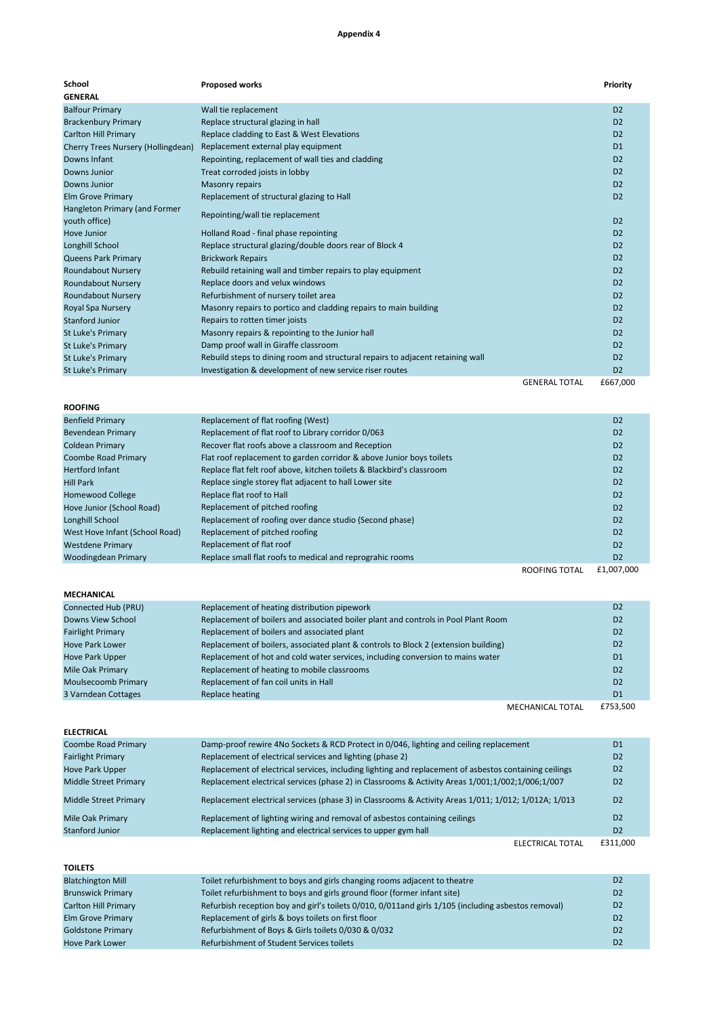## **Appendix 4**

| School                                         | <b>Proposed works</b>                                                          |                      | Priority       |
|------------------------------------------------|--------------------------------------------------------------------------------|----------------------|----------------|
| <b>GENERAL</b>                                 |                                                                                |                      |                |
| <b>Balfour Primary</b>                         | Wall tie replacement                                                           |                      | D <sub>2</sub> |
| <b>Brackenbury Primary</b>                     | Replace structural glazing in hall                                             |                      | D <sub>2</sub> |
| <b>Carlton Hill Primary</b>                    | Replace cladding to East & West Elevations                                     |                      | D <sub>2</sub> |
| Cherry Trees Nursery (Hollingdean)             | Replacement external play equipment                                            |                      | D1             |
| Downs Infant                                   | Repointing, replacement of wall ties and cladding                              |                      | D <sub>2</sub> |
| Downs Junior                                   | Treat corroded joists in lobby                                                 |                      | D <sub>2</sub> |
| Downs Junior                                   | <b>Masonry repairs</b>                                                         |                      | D <sub>2</sub> |
| <b>Elm Grove Primary</b>                       | Replacement of structural glazing to Hall                                      |                      | D <sub>2</sub> |
| Hangleton Primary (and Former<br>youth office) | Repointing/wall tie replacement                                                |                      | D <sub>2</sub> |
| <b>Hove Junior</b>                             | Holland Road - final phase repointing                                          |                      | D <sub>2</sub> |
| Longhill School                                | Replace structural glazing/double doors rear of Block 4                        |                      | D <sub>2</sub> |
| <b>Queens Park Primary</b>                     | <b>Brickwork Repairs</b>                                                       |                      | D <sub>2</sub> |
| <b>Roundabout Nursery</b>                      | Rebuild retaining wall and timber repairs to play equipment                    |                      | D <sub>2</sub> |
| <b>Roundabout Nursery</b>                      | Replace doors and velux windows                                                |                      | D <sub>2</sub> |
| <b>Roundabout Nursery</b>                      | Refurbishment of nursery toilet area                                           |                      | D <sub>2</sub> |
| Royal Spa Nursery                              | Masonry repairs to portico and cladding repairs to main building               |                      | D <sub>2</sub> |
| <b>Stanford Junior</b>                         | Repairs to rotten timer joists                                                 |                      | D <sub>2</sub> |
| <b>St Luke's Primary</b>                       | Masonry repairs & repointing to the Junior hall                                |                      | D <sub>2</sub> |
| <b>St Luke's Primary</b>                       | Damp proof wall in Giraffe classroom                                           |                      | D <sub>2</sub> |
| <b>St Luke's Primary</b>                       | Rebuild steps to dining room and structural repairs to adjacent retaining wall |                      | D <sub>2</sub> |
| <b>St Luke's Primary</b>                       | Investigation & development of new service riser routes                        |                      | D <sub>2</sub> |
|                                                |                                                                                | <b>GENERAL TOTAL</b> | £667,000       |
| <b>ROOFING</b>                                 |                                                                                |                      |                |
| <b>Benfield Primary</b>                        | Replacement of flat roofing (West)                                             |                      | D <sub>2</sub> |

| <b>PUILLUTIILLUT</b>           | <b>INCRIGATION OF HULTOOINIA (WCSC)</b>                               |               | --             |
|--------------------------------|-----------------------------------------------------------------------|---------------|----------------|
| Bevendean Primary              | Replacement of flat roof to Library corridor 0/063                    |               | D <sub>2</sub> |
| Coldean Primary                | Recover flat roofs above a classroom and Reception                    |               | D <sub>2</sub> |
| Coombe Road Primary            | Flat roof replacement to garden corridor & above Junior boys toilets  |               | D <sub>2</sub> |
| <b>Hertford Infant</b>         | Replace flat felt roof above, kitchen toilets & Blackbird's classroom |               | D <sub>2</sub> |
| Hill Park                      | Replace single storey flat adjacent to hall Lower site                |               | D <sub>2</sub> |
| <b>Homewood College</b>        | Replace flat roof to Hall                                             |               | D <sub>2</sub> |
| Hove Junior (School Road)      | Replacement of pitched roofing                                        |               | D <sub>2</sub> |
| Longhill School                | Replacement of roofing over dance studio (Second phase)               |               | D <sub>2</sub> |
| West Hove Infant (School Road) | Replacement of pitched roofing                                        |               | D <sub>2</sub> |
| <b>Westdene Primary</b>        | Replacement of flat roof                                              |               | D <sub>2</sub> |
| Woodingdean Primary            | Replace small flat roofs to medical and reprograhic rooms             |               | D <sub>2</sub> |
|                                |                                                                       | ROOFING TOTAL | £1,007,000     |
|                                |                                                                       |               |                |

| <b>MECHANICAL</b>        |                                                                                     |                  |                |
|--------------------------|-------------------------------------------------------------------------------------|------------------|----------------|
| Connected Hub (PRU)      | Replacement of heating distribution pipework                                        |                  | D <sub>2</sub> |
| Downs View School        | Replacement of boilers and associated boiler plant and controls in Pool Plant Room  |                  | D <sub>2</sub> |
| <b>Fairlight Primary</b> | Replacement of boilers and associated plant                                         |                  | D <sub>2</sub> |
| <b>Hove Park Lower</b>   | Replacement of boilers, associated plant & controls to Block 2 (extension building) |                  | D <sub>2</sub> |
| <b>Hove Park Upper</b>   | Replacement of hot and cold water services, including conversion to mains water     |                  | D <sub>1</sub> |
| Mile Oak Primary         | Replacement of heating to mobile classrooms                                         |                  | D <sub>2</sub> |
| Moulsecoomb Primary      | Replacement of fan coil units in Hall                                               |                  | D <sub>2</sub> |
| 3 Varndean Cottages      | Replace heating                                                                     |                  | D <sub>1</sub> |
|                          |                                                                                     | MECHANICAL TOTAL | £753.500       |

| <b>ELECTRICAL</b>            |                                                                                                        |                |
|------------------------------|--------------------------------------------------------------------------------------------------------|----------------|
| Coombe Road Primary          | Damp-proof rewire 4No Sockets & RCD Protect in 0/046, lighting and ceiling replacement                 | D <sub>1</sub> |
| <b>Fairlight Primary</b>     | Replacement of electrical services and lighting (phase 2)                                              | D <sub>2</sub> |
| <b>Hove Park Upper</b>       | Replacement of electrical services, including lighting and replacement of asbestos containing ceilings | D <sub>2</sub> |
| <b>Middle Street Primary</b> | Replacement electrical services (phase 2) in Classrooms & Activity Areas 1/001;1/002;1/006;1/007       | D <sub>2</sub> |
| Middle Street Primary        | Replacement electrical services (phase 3) in Classrooms & Activity Areas 1/011; 1/012; 1/012A; 1/013   | D <sub>2</sub> |
| Mile Oak Primary             | Replacement of lighting wiring and removal of asbestos containing ceilings                             | D <sub>2</sub> |
| Stanford Junior              | Replacement lighting and electrical services to upper gym hall                                         | D <sub>2</sub> |
|                              | ELECTRICAL TOTAL                                                                                       | £311,000       |

| <b>TOILETS</b>              |                                                                                                     |                |
|-----------------------------|-----------------------------------------------------------------------------------------------------|----------------|
| <b>Blatchington Mill</b>    | Toilet refurbishment to boys and girls changing rooms adjacent to theatre                           | D <sub>2</sub> |
| <b>Brunswick Primary</b>    | Toilet refurbishment to boys and girls ground floor (former infant site)                            | D <sub>2</sub> |
| <b>Carlton Hill Primary</b> | Refurbish reception boy and girl's toilets 0/010, 0/011and girls 1/105 (including asbestos removal) | D <sub>2</sub> |
| Elm Grove Primary           | Replacement of girls & boys toilets on first floor                                                  | D <sub>2</sub> |
| <b>Goldstone Primary</b>    | Refurbishment of Boys & Girls toilets 0/030 & 0/032                                                 | D <sub>2</sub> |
| <b>Hove Park Lower</b>      | Refurbishment of Student Services toilets                                                           | D <sub>2</sub> |